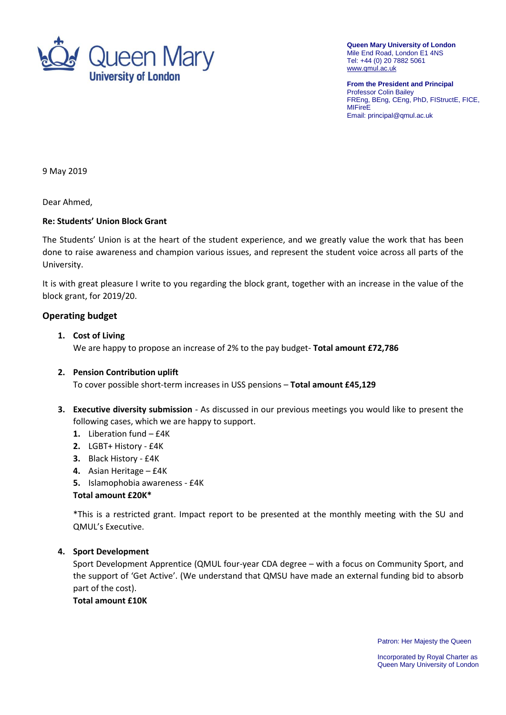

**Queen Mary University of London** Mile End Road, London E1 4NS Tel: +44 (0) 20 7882 5061 [www.qmul.ac.uk](http://www.qmul.ac.uk/)

**From the President and Principal** Professor Colin Bailey FREng, BEng, CEng, PhD, FIStructE, FICE, **MIFireE** Email: principal@qmul.ac.uk

9 May 2019

Dear Ahmed,

#### **Re: Students' Union Block Grant**

The Students' Union is at the heart of the student experience, and we greatly value the work that has been done to raise awareness and champion various issues, and represent the student voice across all parts of the University.

It is with great pleasure I write to you regarding the block grant, together with an increase in the value of the block grant, for 2019/20.

#### **Operating budget**

#### **1. Cost of Living** We are happy to propose an increase of 2% to the pay budget- **Total amount £72,786**

## **2. Pension Contribution uplift** To cover possible short-term increases in USS pensions – **Total amount £45,129**

- **3. Executive diversity submission** As discussed in our previous meetings you would like to present the following cases, which we are happy to support.
	- **1.** Liberation fund £4K
	- **2.** LGBT+ History £4K
	- **3.** Black History £4K
	- **4.** Asian Heritage £4K
	- **5.** Islamophobia awareness £4K

#### **Total amount £20K\***

\*This is a restricted grant. Impact report to be presented at the monthly meeting with the SU and QMUL's Executive.

#### **4. Sport Development**

Sport Development Apprentice (QMUL four-year CDA degree – with a focus on Community Sport, and the support of 'Get Active'. (We understand that QMSU have made an external funding bid to absorb part of the cost).

## **Total amount £10K**

Patron: Her Majesty the Queen

Incorporated by Royal Charter as Queen Mary University of London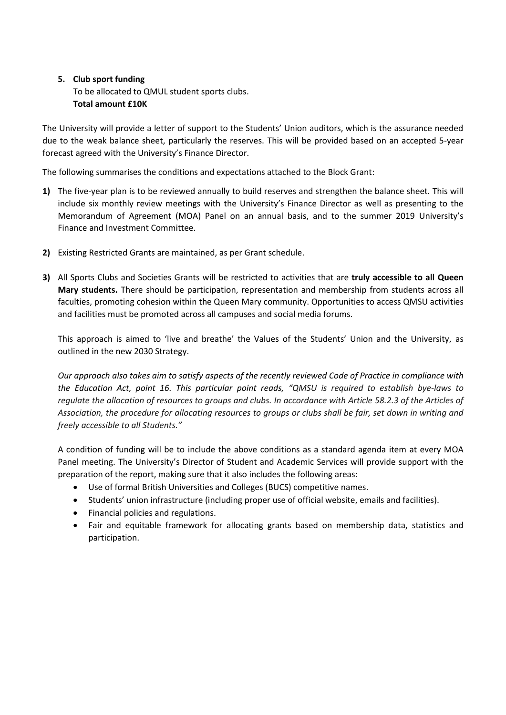# **5. Club sport funding** To be allocated to QMUL student sports clubs. **Total amount £10K**

The University will provide a letter of support to the Students' Union auditors, which is the assurance needed due to the weak balance sheet, particularly the reserves. This will be provided based on an accepted 5-year forecast agreed with the University's Finance Director.

The following summarises the conditions and expectations attached to the Block Grant:

- **1)** The five-year plan is to be reviewed annually to build reserves and strengthen the balance sheet. This will include six monthly review meetings with the University's Finance Director as well as presenting to the Memorandum of Agreement (MOA) Panel on an annual basis, and to the summer 2019 University's Finance and Investment Committee.
- **2)** Existing Restricted Grants are maintained, as per Grant schedule.
- **3)** All Sports Clubs and Societies Grants will be restricted to activities that are **truly accessible to all Queen Mary students.** There should be participation, representation and membership from students across all faculties, promoting cohesion within the Queen Mary community. Opportunities to access QMSU activities and facilities must be promoted across all campuses and social media forums.

This approach is aimed to 'live and breathe' the Values of the Students' Union and the University, as outlined in the new 2030 Strategy.

*Our approach also takes aim to satisfy aspects of the recently reviewed Code of Practice in compliance with the Education Act, point 16. This particular point reads, "QMSU is required to establish bye-laws to regulate the allocation of resources to groups and clubs. In accordance with Article 58.2.3 of the Articles of Association, the procedure for allocating resources to groups or clubs shall be fair, set down in writing and freely accessible to all Students."*

A condition of funding will be to include the above conditions as a standard agenda item at every MOA Panel meeting. The University's Director of Student and Academic Services will provide support with the preparation of the report, making sure that it also includes the following areas:

- Use of formal British Universities and Colleges (BUCS) competitive names.
- Students' union infrastructure (including proper use of official website, emails and facilities).
- Financial policies and regulations.
- Fair and equitable framework for allocating grants based on membership data, statistics and participation.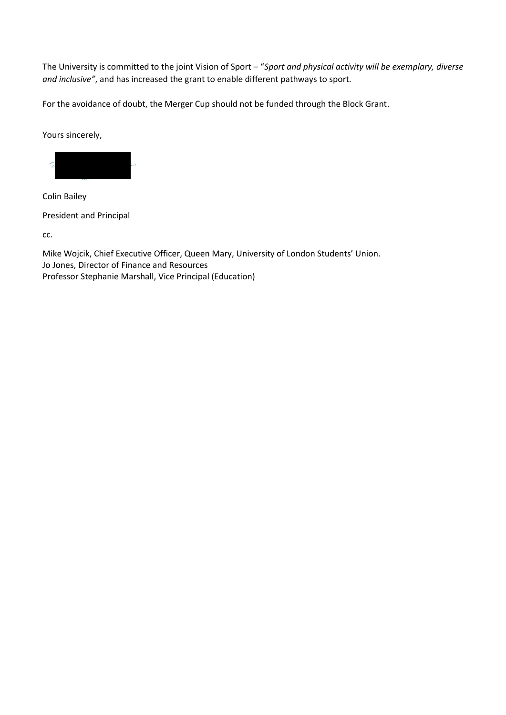The University is committed to the joint Vision of Sport – "*Sport and physical activity will be exemplary, diverse and inclusive"*, and has increased the grant to enable different pathways to sport.

For the avoidance of doubt, the Merger Cup should not be funded through the Block Grant.

Yours sincerely,



Colin Bailey

President and Principal

cc.

Mike Wojcik, Chief Executive Officer, Queen Mary, University of London Students' Union. Jo Jones, Director of Finance and Resources Professor Stephanie Marshall, Vice Principal (Education)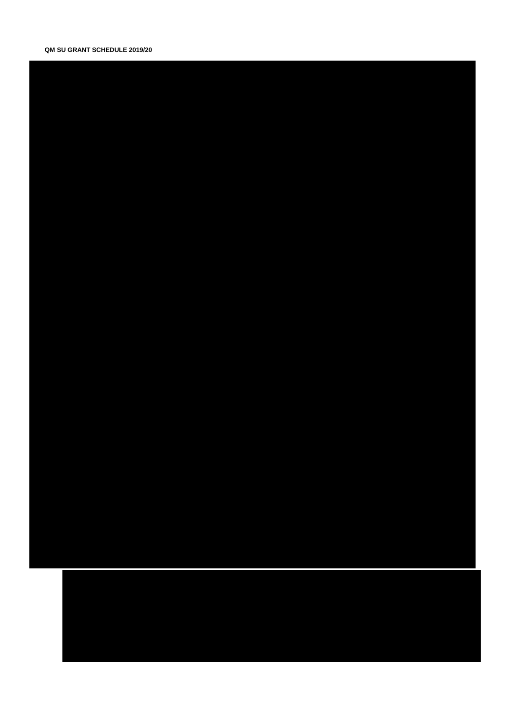## QM SU GRANT SCHEDULE 2019/20